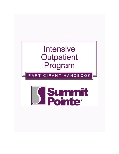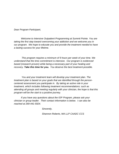*Dear Program Participant,* 

*Welcome to Intensive Outpatient Programming at Summit Pointe. You are taking the first step toward overcoming your addiction and we welcome you in our program. We hope to educate you and provide the treatment needed to have a lasting success for your lifetime.* 

 *This program requires a minimum of 9 hours per week of your time. We understand that the time commitment is intensive. Our program is evidenced based (research proven) while being a necessary part of your healing and recovery. Take this time for you. You deserve the best treatment possible.* 

 *You and your treatment team will develop your treatment plan. The treatment plan is based on your goals that are identified through the personcentered assessment you participate in. By taking an active role in your treatment, which includes following treatment recommendations: such as attending all groups and meeting regularly with your clinician, the hope is that this program will be the start to a positive journey.* 

*If you have any questions about the IOP Program, please ask your clinician or group leader. Their contact information is below. I can also be reached at 269-441-5924.* 

*Sincerely,* 

*Shannon Roberts, MA LLP CAADC CCS*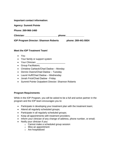| <b>IOP Program Director: Shannon Roberts</b> | phone: 269-441-5924                                                                                                                                                                                                            |
|----------------------------------------------|--------------------------------------------------------------------------------------------------------------------------------------------------------------------------------------------------------------------------------|
|                                              | phone: the contract of the contract of the contract of the contract of the contract of the contract of the contract of the contract of the contract of the contract of the contract of the contract of the contract of the con |
| Phone: 269-966-1460                          |                                                                                                                                                                                                                                |
| <b>Agency: Summit Pointe</b>                 |                                                                                                                                                                                                                                |
| Important contact information:               |                                                                                                                                                                                                                                |

## **Meet the IOP Treatment Team!**

- You
- Your family or support system
- Your Clinician:
- Group Facilitators;
- Christine Carbeck/Chad Dadow Monday
- Dennis Owens/Chad Dadow Tuesday
- Laurel Huff/Chad Dadow Wednesday
- Jonah Frick/Chad Dadow Friday
- Summit Pointe Outpatient Director: Shannon Roberts

## **Program Requirements**

While in the IOP Program, you will be asked to be a full and active partner in the program and the IOP team encourages you to:

- Participate in developing your treatment plan with the treatment team;
- Attend all regularly scheduled groups;
- Participate in all regularly scheduled groups;
- Keep all appointments with treatment providers;
- Inform your clinician of any change of address, phone number, or email;
- Notify your clinician if you:
	- o Cannot make a scheduled group session
	- o Miss an appointment
	- o Are hospitalized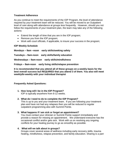## **Treatment Adherence**

As you continue to meet the requirements of the IOP Program, the level of attendance required by your treatment team will be reduced. You will be moved to an Outpatient level of care along with attendance at groups less frequently. However, should you not follow the requirements of your treatment plan, the team may take any of the following actions:

- Extend the length of time that you are in the IOP program;
- Remove you from the IOP program;
- Work with court officials, if applicable, to insure your success in the program;

## **IOP Weekly Schedule**

**Mondays – 9am –noon early skills/seeking safety**

**Tuesdays – 9am-noon early skills/family education**

**Wednesdays – 9am-noon early skills/mindfulness**

**Fridays – 9am-noon early living skills/relapse prevention** 

**It is recommended that you attend all of these groups on a weekly basis for the best overall success but REQUIRED that you attend 3 of them. You also will meet weekly/bi-weekly with your individual therapist** 

#### **Frequently Asked Questions:**

- **1. How long will I be in the IOP Program?** IOP is typically anywhere from 8-12 weeks.
- **2. What do I need to do to complete the IOP Program?** This is up to you and your treatment team. If you are following your treatment plan and have not had any relapses then you will be reduced to regular
- outpatient programming also with Summit Pointe.

## **3. What happens if I am sick or forget an appointment?**

You must contact your clinician or Summit Pointe support immediately and provide a reason for missing an appointment. We understand everyone has the occasional conflict and/or gets sick. Work with us on resolving any ongoing conflicts for your healing journey to go as smoothly as possible.

#### **4. What will we talk about in groups?**

Groups cover several areas of wellness including early recovery skills, trauma healing, mindfulness, relapse prevention, and family education. Sharing is a part